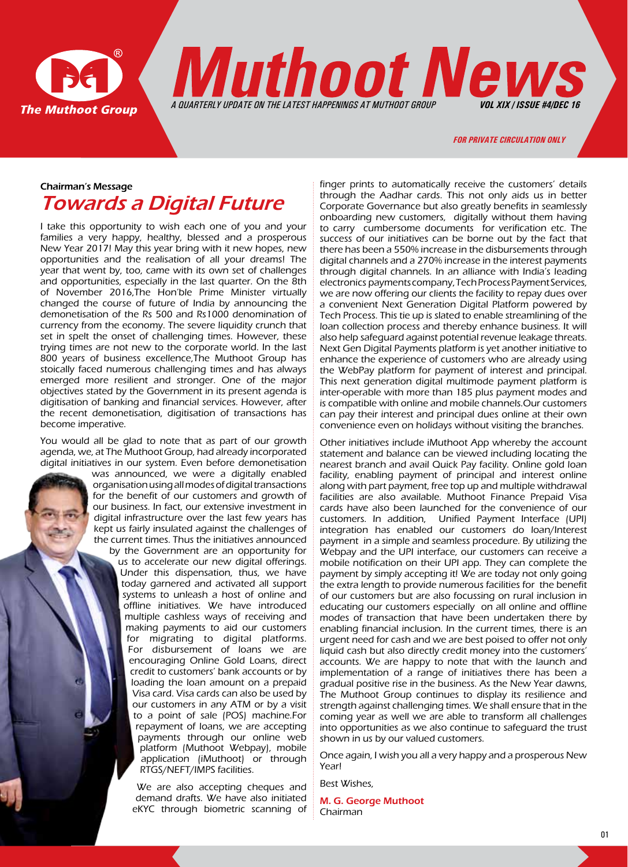

**Muthoot News** 

#### *for private circulation only*

*A QUARTERLY UPDATE ON THE LATEST HAPPENINGS AT MUTHOOT GROUP VOL XIX / ISSUE #4/DEc 16*

# Chairman's Message Towards a Digital Future

I take this opportunity to wish each one of you and your families a very happy, healthy, blessed and a prosperous New Year 2017! May this year bring with it new hopes, new opportunities and the realisation of all your dreams! The year that went by, too, came with its own set of challenges and opportunities, especially in the last quarter. On the 8th of November 2016,The Hon'ble Prime Minister virtually changed the course of future of India by announcing the demonetisation of the Rs 500 and Rs1000 denomination of currency from the economy. The severe liquidity crunch that set in spelt the onset of challenging times. However, these trying times are not new to the corporate world. In the last 800 years of business excellence,The Muthoot Group has stoically faced numerous challenging times and has always emerged more resilient and stronger. One of the major objectives stated by the Government in its present agenda is digitisation of banking and financial services. However, after the recent demonetisation, digitisation of transactions has become imperative.

You would all be glad to note that as part of our growth agenda, we, at The Muthoot Group, had already incorporated digital initiatives in our system. Even before demonetisation

was announced, we were a digitally enabled organisation using all modes of digital transactions for the benefit of our customers and growth of our business. In fact, our extensive investment in digital infrastructure over the last few years has kept us fairly insulated against the challenges of the current times. Thus the initiatives announced by the Government are an opportunity for us to accelerate our new digital offerings. Under this dispensation, thus, we have today garnered and activated all support systems to unleash a host of online and offline initiatives. We have introduced multiple cashless ways of receiving and making payments to aid our customers for migrating to digital platforms. For disbursement of loans we are encouraging Online Gold Loans, direct credit to customers' bank accounts or by loading the loan amount on a prepaid Visa card. Visa cards can also be used by our customers in any ATM or by a visit to a point of sale (POS) machine.For repayment of loans, we are accepting payments through our online web platform (Muthoot Webpay), mobile application (iMuthoot) or through RTGS/NEFT/IMPS facilities.

> We are also accepting cheques and demand drafts. We have also initiated eKYC through biometric scanning of

finger prints to automatically receive the customers' details through the Aadhar cards. This not only aids us in better Corporate Governance but also greatly benefits in seamlessly onboarding new customers, digitally without them having to carry cumbersome documents for verification etc. The success of our initiatives can be borne out by the fact that there has been a 550% increase in the disbursements through digital channels and a 270% increase in the interest payments through digital channels. In an alliance with India's leading electronics payments company, Tech Process Payment Services, we are now offering our clients the facility to repay dues over a convenient Next Generation Digital Platform powered by Tech Process. This tie up is slated to enable streamlining of the loan collection process and thereby enhance business. It will also help safeguard against potential revenue leakage threats. Next Gen Digital Payments platform is yet another initiative to enhance the experience of customers who are already using the WebPay platform for payment of interest and principal. This next generation digital multimode payment platform is inter-operable with more than 185 plus payment modes and is compatible with online and mobile channels.Our customers can pay their interest and principal dues online at their own convenience even on holidays without visiting the branches.

Other initiatives include iMuthoot App whereby the account statement and balance can be viewed including locating the nearest branch and avail Quick Pay facility. Online gold loan facility, enabling payment of principal and interest online along with part payment, free top up and multiple withdrawal facilities are also available. Muthoot Finance Prepaid Visa cards have also been launched for the convenience of our customers. In addition, Unified Payment Interface (UPI) integration has enabled our customers do loan/Interest payment in a simple and seamless procedure. By utilizing the Webpay and the UPI interface, our customers can receive a mobile notification on their UPI app. They can complete the payment by simply accepting it! We are today not only going the extra length to provide numerous facilities for the benefit of our customers but are also focussing on rural inclusion in educating our customers especially on all online and offline modes of transaction that have been undertaken there by enabling financial inclusion. In the current times, there is an urgent need for cash and we are best poised to offer not only liquid cash but also directly credit money into the customers' accounts. We are happy to note that with the launch and implementation of a range of initiatives there has been a gradual positive rise in the business. As the New Year dawns, The Muthoot Group continues to display its resilience and strength against challenging times. We shall ensure that in the coming year as well we are able to transform all challenges into opportunities as we also continue to safeguard the trust shown in us by our valued customers.

Once again, I wish you all a very happy and a prosperous New Year!

Best Wishes,

M. G. George Muthoot Chairman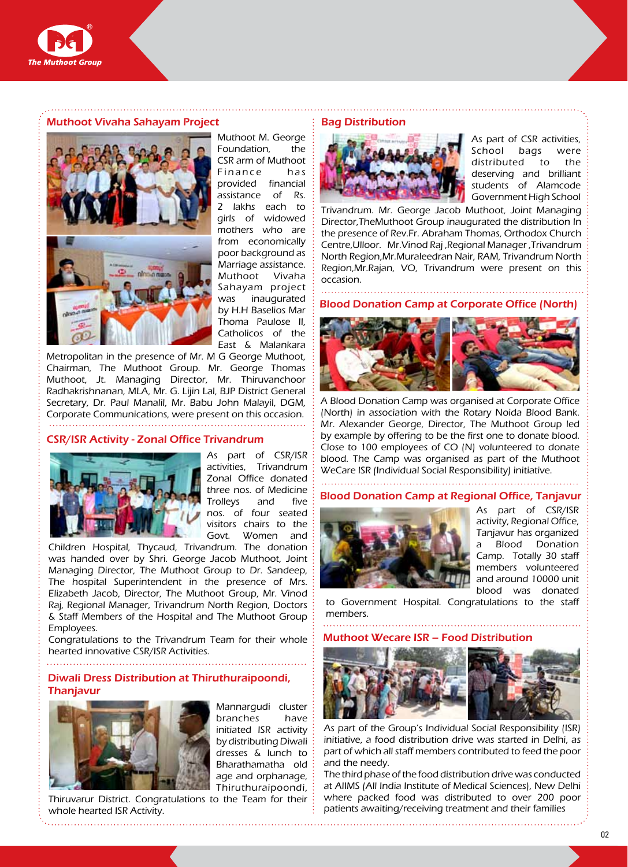

#### Muthoot Vivaha Sahayam Project



Muthoot M. George Foundation, the CSR arm of Muthoot Finance has provided financial assistance of Rs. 2 lakhs each to girls of widowed mothers who are from economically poor background as Marriage assistance. Muthoot Vivaha Sahayam project was inaugurated by H.H Baselios Mar Thoma Paulose II, Catholicos of the East & Malankara

Metropolitan in the presence of Mr. M G George Muthoot, Chairman, The Muthoot Group. Mr. George Thomas Muthoot, Jt. Managing Director, Mr. Thiruvanchoor Radhakrishnanan, MLA, Mr. G. Lijin Lal, BJP District General Secretary, Dr. Paul Manalil, Mr. Babu John Malayil, DGM, Corporate Communications, were present on this occasion. 

#### CSR/ISR Activity - Zonal Office Trivandrum



As part of CSR/ISR activities, Trivandrum Zonal Office donated three nos. of Medicine Trolleys and five nos. of four seated visitors chairs to the Govt. Women and

Children Hospital, Thycaud, Trivandrum. The donation was handed over by Shri. George Jacob Muthoot, Joint Managing Director, The Muthoot Group to Dr. Sandeep, The hospital Superintendent in the presence of Mrs. Elizabeth Jacob, Director, The Muthoot Group, Mr. Vinod Raj, Regional Manager, Trivandrum North Region, Doctors & Staff Members of the Hospital and The Muthoot Group Employees.

Congratulations to the Trivandrum Team for their whole hearted innovative CSR/ISR Activities.

## Diwali Dress Distribution at Thiruthuraipoondi, **Thanjavur**



Mannargudi cluster branches have initiated ISR activity by distributing Diwali dresses & lunch to Bharathamatha old age and orphanage, Thiruthuraipoondi,

Thiruvarur District. Congratulations to the Team for their whole hearted ISR Activity.

#### Bag Distribution



As part of CSR activities, School bags were distributed to the deserving and brilliant students of Alamcode Government High School

Trivandrum. Mr. George Jacob Muthoot, Joint Managing Director,TheMuthoot Group inaugurated the distribution In the presence of Rev.Fr. Abraham Thomas, Orthodox Church Centre,Ulloor. Mr.Vinod Raj ,Regional Manager ,Trivandrum North Region,Mr.Muraleedran Nair, RAM, Trivandrum North Region,Mr.Rajan, VO, Trivandrum were present on this occasion.

Blood Donation Camp at Corporate Office (North)



A Blood Donation Camp was organised at Corporate Office (North) in association with the Rotary Noida Blood Bank. Mr. Alexander George, Director, The Muthoot Group led by example by offering to be the first one to donate blood. Close to 100 employees of CO (N) volunteered to donate blood. The Camp was organised as part of the Muthoot WeCare ISR (Individual Social Responsibility) initiative.

#### Blood Donation Camp at Regional Office, Tanjavur



As part of CSR/ISR activity, Regional Office, Tanjavur has organized a Blood Donation Camp. Totally 30 staff members volunteered and around 10000 unit blood was donated

to Government Hospital. Congratulations to the staff members.

#### Muthoot Wecare ISR – Food Distributi





As part of the Group's Individual Social Responsibility (ISR) initiative, a food distribution drive was started in Delhi, as part of which all staff members contributed to feed the poor and the needy.

The third phase of the food distribution drive was conducted at AIIMS (All India Institute of Medical Sciences), New Delhi where packed food was distributed to over 200 poor patients awaiting/receiving treatment and their families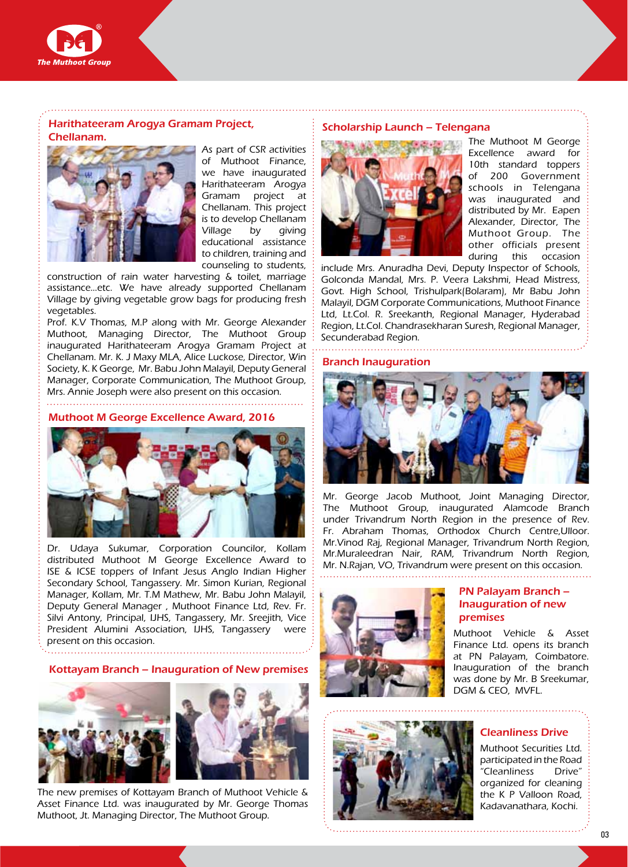

Harithateeram Arogya Gramam Project, Chellanam. Scholarship Launch – Telengana



As part of CSR activities of Muthoot Finance, we have inaugurated Harithateeram Arogya Gramam project at Chellanam. This project is to develop Chellanam Village by giving educational assistance to children, training and counseling to students,

construction of rain water harvesting & toilet, marriage assistance…etc. We have already supported Chellanam Village by giving vegetable grow bags for producing fresh vegetables.

Prof. K.V Thomas, M.P along with Mr. George Alexander Muthoot, Managing Director, The Muthoot Group inaugurated Harithateeram Arogya Gramam Project at Chellanam. Mr. K. J Maxy MLA, Alice Luckose, Director, Win Society, K. K George, Mr. Babu John Malayil, Deputy General Manager, Corporate Communication, The Muthoot Group, Mrs. Annie Joseph were also present on this occasion.

## Muthoot M George Excellence Award, 2016



Dr. Udaya Sukumar, Corporation Councilor, Kollam distributed Muthoot M George Excellence Award to ISE & ICSE toppers of Infant Jesus Anglo Indian Higher Secondary School, Tangassery. Mr. Simon Kurian, Regional Manager, Kollam, Mr. T.M Mathew, Mr. Babu John Malayil, Deputy General Manager , Muthoot Finance Ltd, Rev. Fr. Silvi Antony, Principal, IJHS, Tangassery, Mr. Sreejith, Vice President Alumini Association, IJHS, Tangassery were present on this occasion.

#### Kottayam Branch – Inauguration of New premises



The new premises of Kottayam Branch of Muthoot Vehicle & Asset Finance Ltd. was inaugurated by Mr. George Thomas Muthoot, Jt. Managing Director, The Muthoot Group.



The Muthoot M George Excellence award for 10th standard toppers of 200 Government schools in Telengana was inaugurated and distributed by Mr. Eapen Alexander, Director, The Muthoot Group. The other officials present during this occasion

include Mrs. Anuradha Devi, Deputy Inspector of Schools, Golconda Mandal, Mrs. P. Veera Lakshmi, Head Mistress, Govt. High School, Trishulpark(Bolaram), Mr Babu John Malayil, DGM Corporate Communications, Muthoot Finance Ltd, Lt.Col. R. Sreekanth, Regional Manager, Hyderabad Region, Lt.Col. Chandrasekharan Suresh, Regional Manager, Secunderabad Region.

#### Branch Inauguration



Mr. George Jacob Muthoot, Joint Managing Director, The Muthoot Group, inaugurated Alamcode Branch under Trivandrum North Region in the presence of Rev. Fr. Abraham Thomas, Orthodox Church Centre,Ulloor. Mr.Vinod Raj, Regional Manager, Trivandrum North Region, Mr.Muraleedran Nair, RAM, Trivandrum North Region, Mr. N.Rajan, VO, Trivandrum were present on this occasion.





## PN Palayam Branch – Inauguration of new premises

Muthoot Vehicle & Asset Finance Ltd. opens its branch at PN Palayam, Coimbatore. Inauguration of the branch was done by Mr. B Sreekumar, DGM & CEO, MVFL.

#### Cleanliness Drive

Muthoot Securities Ltd. participated in the Road "Cleanliness Drive" organized for cleaning the K P Valloon Road, Kadavanathara, Kochi.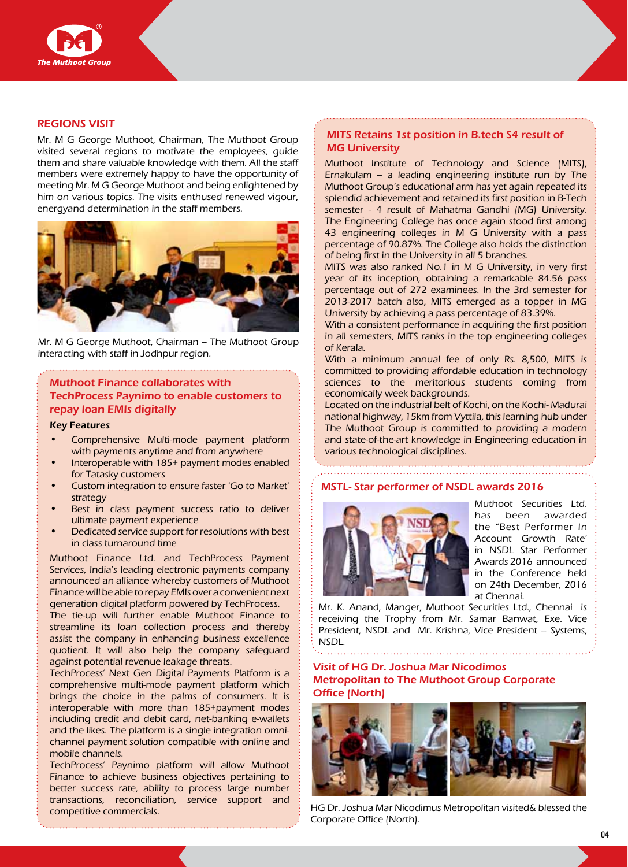

#### REGIONS VISIT

Mr. M G George Muthoot, Chairman, The Muthoot Group visited several regions to motivate the employees, guide them and share valuable knowledge with them. All the staff members were extremely happy to have the opportunity of meeting Mr. M G George Muthoot and being enlightened by him on various topics. The visits enthused renewed vigour, energyand determination in the staff members.



Mr. M G George Muthoot, Chairman – The Muthoot Group interacting with staff in Jodhpur region.

## Muthoot Finance collaborates with TechProcess Paynimo to enable customers to repay loan EMIs digitally

#### Key Features

- Comprehensive Multi-mode payment platform with payments anytime and from anywhere
- Interoperable with 185+ payment modes enabled for Tatasky customers
- Custom integration to ensure faster 'Go to Market' strategy
- Best in class payment success ratio to deliver ultimate payment experience
- Dedicated service support for resolutions with best in class turnaround time

Muthoot Finance Ltd. and TechProcess Payment Services, India's leading electronic payments company announced an alliance whereby customers of Muthoot Finance will be able to repay EMIs over a convenient next generation digital platform powered by TechProcess.

The tie-up will further enable Muthoot Finance to streamline its loan collection process and thereby assist the company in enhancing business excellence quotient. It will also help the company safeguard against potential revenue leakage threats.

TechProcess' Next Gen Digital Payments Platform is a comprehensive multi-mode payment platform which brings the choice in the palms of consumers. It is interoperable with more than 185+payment modes including credit and debit card, net-banking e-wallets and the likes. The platform is a single integration omnichannel payment solution compatible with online and mobile channels.

TechProcess' Paynimo platform will allow Muthoot Finance to achieve business objectives pertaining to better success rate, ability to process large number transactions, reconciliation, service support and competitive commercials.

#### MITS Retains 1st position in B.tech S4 result of **MG University**

Muthoot Institute of Technology and Science (MITS), Ernakulam – a leading engineering institute run by The Muthoot Group's educational arm has yet again repeated its splendid achievement and retained its first position in B-Tech semester - 4 result of Mahatma Gandhi (MG) University. The Engineering College has once again stood first among 43 engineering colleges in M G University with a pass percentage of 90.87%. The College also holds the distinction of being first in the University in all 5 branches.

MITS was also ranked No.1 in M G University, in very first year of its inception, obtaining a remarkable 84.56 pass percentage out of 272 examinees. In the 3rd semester for 2013-2017 batch also, MITS emerged as a topper in MG University by achieving a pass percentage of 83.39%.

With a consistent performance in acquiring the first position in all semesters, MITS ranks in the top engineering colleges of Kerala.

With a minimum annual fee of only Rs. 8,500, MITS is committed to providing affordable education in technology sciences to the meritorious students coming from economically week backgrounds.

Located on the industrial belt of Kochi, on the Kochi- Madurai national highway, 15km from Vyttila, this learning hub under The Muthoot Group is committed to providing a modern and state-of-the-art knowledge in Engineering education in various technological disciplines.

## MSTL- Star performer of NSDL awards 2016



Muthoot Securities Ltd. has been awarded the "Best Performer In Account Growth Rate' in NSDL Star Performer Awards 2016 announced in the Conference held on 24th December, 2016 at Chennai.

Mr. K. Anand, Manger, Muthoot Securities Ltd., Chennai is receiving the Trophy from Mr. Samar Banwat, Exe. Vice President, NSDL and Mr. Krishna, Vice President – Systems, NSDL.

## Visit of Hg Dr. Joshua Mar Nicodimos Metropolitan to The Muthoot Group Corporate Office (North)



HG Dr. Joshua Mar Nicodimus Metropolitan visited& blessed the Corporate Office (North).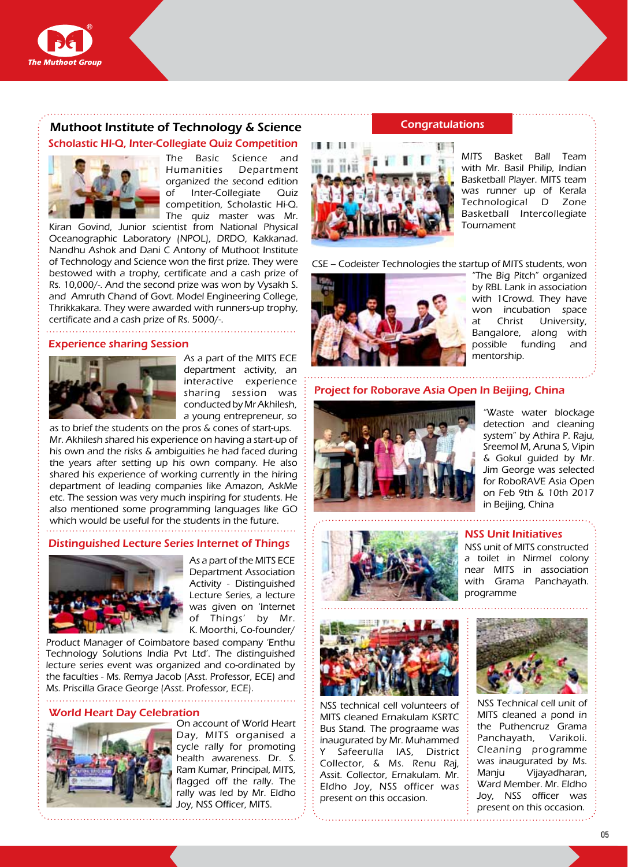

# Muthoot Institute of Technology & Science

## Scholastic HI-Q, Inter-Collegiate Quiz Competition



The Basic Science and Humanities Department organized the second edition of Inter-Collegiate Quiz competition, Scholastic Hi-Q. The quiz master was Mr.

Kiran Govind, Junior scientist from National Physical Oceanographic Laboratory (NPOL), DRDO, Kakkanad. Nandhu Ashok and Dani C Antony of Muthoot Institute of Technology and Science won the first prize. They were bestowed with a trophy, certificate and a cash prize of Rs. 10,000/-. And the second prize was won by Vysakh S. and Amruth Chand of Govt. Model Engineering College, Thrikkakara. They were awarded with runners-up trophy, certificate and a cash prize of Rs. 5000/-.

#### Experience sharing Session



As a part of the MITS ECE department activity, an interactive experience sharing session was conducted by Mr Akhilesh, a young entrepreneur, so

as to brief the students on the pros & cones of start-ups. Mr. Akhilesh shared his experience on having a start-up of his own and the risks & ambiguities he had faced during the years after setting up his own company. He also shared his experience of working currently in the hiring department of leading companies like Amazon, AskMe etc. The session was very much inspiring for students. He also mentioned some programming languages like GO which would be useful for the students in the future. 

#### Distinguished Lecture Series Internet of Things



As a part of the MITS ECE Department Association Activity - Distinguished Lecture Series, a lecture was given on 'Internet of Things' by Mr. K. Moorthi, Co-founder/

Product Manager of Coimbatore based company 'Enthu Technology Solutions India Pvt Ltd'. The distinguished lecture series event was organized and co-ordinated by the faculties - Ms. Remya Jacob (Asst. Professor, ECE) and Ms. Priscilla Grace George (Asst. Professor, ECE).

## World Heart Day Celebration



On account of World Heart Day, MITS organised a cycle rally for promoting health awareness. Dr. S. Ram Kumar, Principal, MITS, flagged off the rally. The rally was led by Mr. Eldho Joy, NSS Officer, MITS.

## **Congratulations**



MITS Basket Ball Team with Mr. Basil Philip, Indian Basketball Player. MITS team was runner up of Kerala Technological D Zone Basketball Intercollegiate Tournament

CSE – Codeister Technologies the startup of MITS students, won



"The Big Pitch" organized by RBL Lank in association with 1Crowd. They have won incubation space at Christ University, Bangalore, along with possible funding and mentorship.

Project for Roborave Asia Open In Beijing, China



"Waste water blockage detection and cleaning system" by Athira P. Raju, Sreemol M, Aruna S, Vipin & Gokul guided by Mr. Jim George was selected for RoboRAVE Asia Open on Feb 9th & 10th 2017 in Beijing, China



#### NSS Unit Initiatives

NSS unit of MITS constructed a toilet in Nirmel colony near MITS in association with Grama Panchayath. programme



NSS technical cell volunteers of MITS cleaned Ernakulam KSRTC Bus Stand. The prograame was inaugurated by Mr. Muhammed Y Safeerulla IAS, District Collector, & Ms. Renu Raj, Assit. Collector, Ernakulam. Mr. Eldho Joy, NSS officer was present on this occasion.



NSS Technical cell unit of MITS cleaned a pond in the Puthencruz Grama Panchayath, Varikoli. Cleaning programme was inaugurated by Ms. Manju Vijayadharan, Ward Member. Mr. Eldho Joy, NSS officer was present on this occasion.